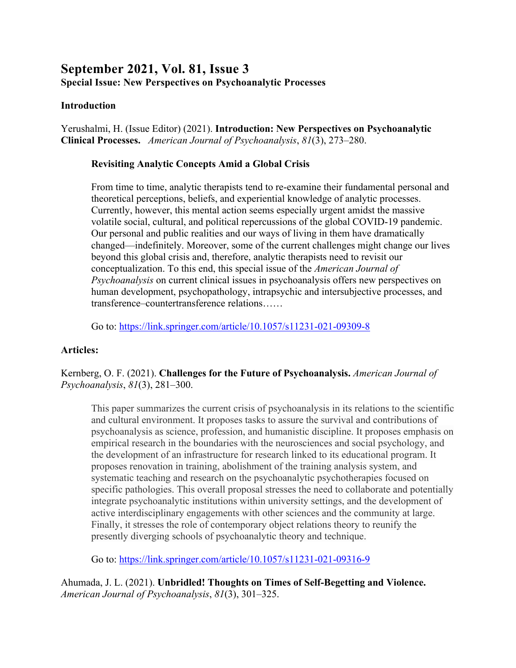# **September 2021, Vol. 81, Issue 3 Special Issue: New Perspectives on Psychoanalytic Processes**

#### **Introduction**

Yerushalmi, H. (Issue Editor) (2021). **Introduction: New Perspectives on Psychoanalytic Clinical Processes.** *American Journal of Psychoanalysis*, *81*(3), 273–280.

#### **Revisiting Analytic Concepts Amid a Global Crisis**

From time to time, analytic therapists tend to re-examine their fundamental personal and theoretical perceptions, beliefs, and experiential knowledge of analytic processes. Currently, however, this mental action seems especially urgent amidst the massive volatile social, cultural, and political repercussions of the global COVID-19 pandemic. Our personal and public realities and our ways of living in them have dramatically changed—indefinitely. Moreover, some of the current challenges might change our lives beyond this global crisis and, therefore, analytic therapists need to revisit our conceptualization. To this end, this special issue of the *American Journal of Psychoanalysis* on current clinical issues in psychoanalysis offers new perspectives on human development, psychopathology, intrapsychic and intersubjective processes, and transference–countertransference relations……

Go to: https://link.springer.com/article/10.1057/s11231-021-09309-8

## **Articles:**

Kernberg, O. F. (2021). **Challenges for the Future of Psychoanalysis.** *American Journal of Psychoanalysis*, *81*(3), 281–300.

This paper summarizes the current crisis of psychoanalysis in its relations to the scientific and cultural environment. It proposes tasks to assure the survival and contributions of psychoanalysis as science, profession, and humanistic discipline. It proposes emphasis on empirical research in the boundaries with the neurosciences and social psychology, and the development of an infrastructure for research linked to its educational program. It proposes renovation in training, abolishment of the training analysis system, and systematic teaching and research on the psychoanalytic psychotherapies focused on specific pathologies. This overall proposal stresses the need to collaborate and potentially integrate psychoanalytic institutions within university settings, and the development of active interdisciplinary engagements with other sciences and the community at large. Finally, it stresses the role of contemporary object relations theory to reunify the presently diverging schools of psychoanalytic theory and technique.

Go to: https://link.springer.com/article/10.1057/s11231-021-09316-9

Ahumada, J. L. (2021). **Unbridled! Thoughts on Times of Self-Begetting and Violence.** *American Journal of Psychoanalysis*, *81*(3), 301–325.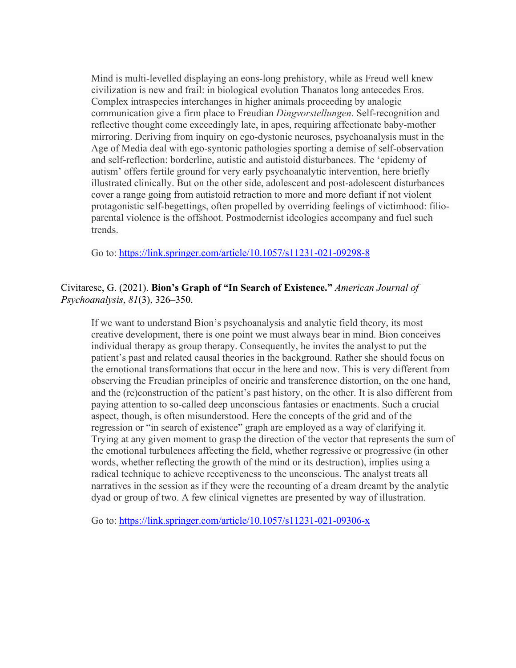Mind is multi-levelled displaying an eons-long prehistory, while as Freud well knew civilization is new and frail: in biological evolution Thanatos long antecedes Eros. Complex intraspecies interchanges in higher animals proceeding by analogic communication give a firm place to Freudian *Dingvorstellungen*. Self-recognition and reflective thought come exceedingly late, in apes, requiring affectionate baby-mother mirroring. Deriving from inquiry on ego-dystonic neuroses, psychoanalysis must in the Age of Media deal with ego-syntonic pathologies sporting a demise of self-observation and self-reflection: borderline, autistic and autistoid disturbances. The 'epidemy of autism' offers fertile ground for very early psychoanalytic intervention, here briefly illustrated clinically. But on the other side, adolescent and post-adolescent disturbances cover a range going from autistoid retraction to more and more defiant if not violent protagonistic self-begettings, often propelled by overriding feelings of victimhood: filioparental violence is the offshoot. Postmodernist ideologies accompany and fuel such trends.

Go to: https://link.springer.com/article/10.1057/s11231-021-09298-8

## Civitarese, G. (2021). **Bion's Graph of "In Search of Existence."** *American Journal of Psychoanalysis*, *81*(3), 326–350.

If we want to understand Bion's psychoanalysis and analytic field theory, its most creative development, there is one point we must always bear in mind. Bion conceives individual therapy as group therapy. Consequently, he invites the analyst to put the patient's past and related causal theories in the background. Rather she should focus on the emotional transformations that occur in the here and now. This is very different from observing the Freudian principles of oneiric and transference distortion, on the one hand, and the (re)construction of the patient's past history, on the other. It is also different from paying attention to so-called deep unconscious fantasies or enactments. Such a crucial aspect, though, is often misunderstood. Here the concepts of the grid and of the regression or "in search of existence" graph are employed as a way of clarifying it. Trying at any given moment to grasp the direction of the vector that represents the sum of the emotional turbulences affecting the field, whether regressive or progressive (in other words, whether reflecting the growth of the mind or its destruction), implies using a radical technique to achieve receptiveness to the unconscious. The analyst treats all narratives in the session as if they were the recounting of a dream dreamt by the analytic dyad or group of two. A few clinical vignettes are presented by way of illustration.

Go to: https://link.springer.com/article/10.1057/s11231-021-09306-x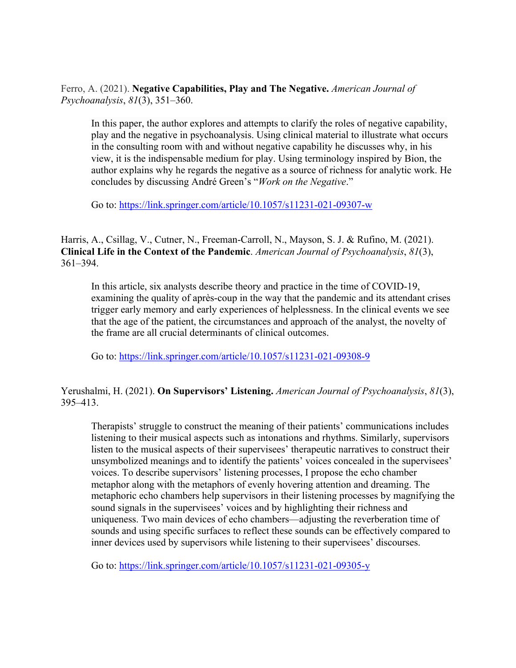Ferro, A. (2021). **Negative Capabilities, Play and The Negative.** *American Journal of Psychoanalysis*, *81*(3), 351–360.

In this paper, the author explores and attempts to clarify the roles of negative capability, play and the negative in psychoanalysis. Using clinical material to illustrate what occurs in the consulting room with and without negative capability he discusses why, in his view, it is the indispensable medium for play. Using terminology inspired by Bion, the author explains why he regards the negative as a source of richness for analytic work. He concludes by discussing André Green's "*Work on the Negative*."

Go to: https://link.springer.com/article/10.1057/s11231-021-09307-w

Harris, A., Csillag, V., Cutner, N., Freeman-Carroll, N., Mayson, S. J. & Rufino, M. (2021). **Clinical Life in the Context of the Pandemic**. *American Journal of Psychoanalysis*, *81*(3), 361–394.

In this article, six analysts describe theory and practice in the time of COVID-19, examining the quality of après-coup in the way that the pandemic and its attendant crises trigger early memory and early experiences of helplessness. In the clinical events we see that the age of the patient, the circumstances and approach of the analyst, the novelty of the frame are all crucial determinants of clinical outcomes.

Go to: https://link.springer.com/article/10.1057/s11231-021-09308-9

Yerushalmi, H. (2021). **On Supervisors' Listening.** *American Journal of Psychoanalysis*, *81*(3), 395–413.

Therapists' struggle to construct the meaning of their patients' communications includes listening to their musical aspects such as intonations and rhythms. Similarly, supervisors listen to the musical aspects of their supervisees' therapeutic narratives to construct their unsymbolized meanings and to identify the patients' voices concealed in the supervisees' voices. To describe supervisors' listening processes, I propose the echo chamber metaphor along with the metaphors of evenly hovering attention and dreaming. The metaphoric echo chambers help supervisors in their listening processes by magnifying the sound signals in the supervisees' voices and by highlighting their richness and uniqueness. Two main devices of echo chambers—adjusting the reverberation time of sounds and using specific surfaces to reflect these sounds can be effectively compared to inner devices used by supervisors while listening to their supervisees' discourses.

Go to: https://link.springer.com/article/10.1057/s11231-021-09305-y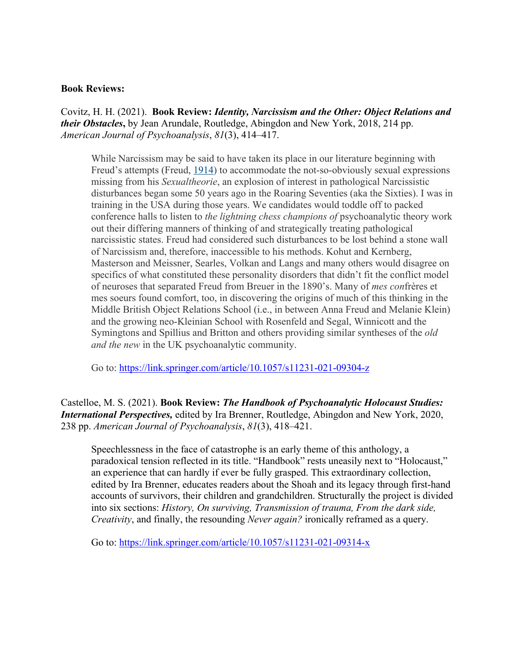#### **Book Reviews:**

Covitz, H. H. (2021). **Book Review:** *Identity, Narcissism and the Other: Object Relations and their Obstacles***,** by Jean Arundale, Routledge, Abingdon and New York, 2018, 214 pp. *American Journal of Psychoanalysis*, *81*(3), 414–417.

While Narcissism may be said to have taken its place in our literature beginning with Freud's attempts (Freud, 1914) to accommodate the not-so-obviously sexual expressions missing from his *Sexualtheorie*, an explosion of interest in pathological Narcissistic disturbances began some 50 years ago in the Roaring Seventies (aka the Sixties). I was in training in the USA during those years. We candidates would toddle off to packed conference halls to listen to *the lightning chess champions of* psychoanalytic theory work out their differing manners of thinking of and strategically treating pathological narcissistic states. Freud had considered such disturbances to be lost behind a stone wall of Narcissism and, therefore, inaccessible to his methods. Kohut and Kernberg, Masterson and Meissner, Searles, Volkan and Langs and many others would disagree on specifics of what constituted these personality disorders that didn't fit the conflict model of neuroses that separated Freud from Breuer in the 1890's. Many of *mes con*frères et mes soeurs found comfort, too, in discovering the origins of much of this thinking in the Middle British Object Relations School (i.e., in between Anna Freud and Melanie Klein) and the growing neo-Kleinian School with Rosenfeld and Segal, Winnicott and the Symingtons and Spillius and Britton and others providing similar syntheses of the *old and the new* in the UK psychoanalytic community.

Go to: https://link.springer.com/article/10.1057/s11231-021-09304-z

Castelloe, M. S. (2021). **Book Review:** *The Handbook of Psychoanalytic Holocaust Studies: International Perspectives,* edited by Ira Brenner, Routledge, Abingdon and New York, 2020, 238 pp. *American Journal of Psychoanalysis*, *81*(3), 418–421.

Speechlessness in the face of catastrophe is an early theme of this anthology, a paradoxical tension reflected in its title. "Handbook" rests uneasily next to "Holocaust," an experience that can hardly if ever be fully grasped. This extraordinary collection, edited by Ira Brenner, educates readers about the Shoah and its legacy through first-hand accounts of survivors, their children and grandchildren. Structurally the project is divided into six sections: *History, On surviving, Transmission of trauma, From the dark side, Creativity*, and finally, the resounding *Never again?* ironically reframed as a query.

Go to: https://link.springer.com/article/10.1057/s11231-021-09314-x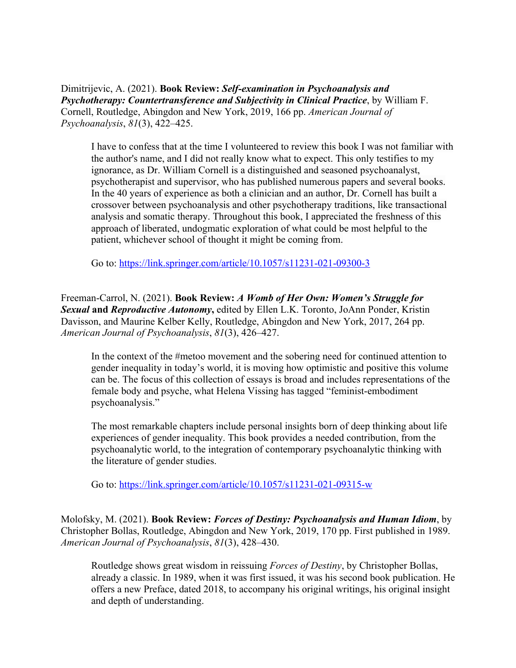Dimitrijevic, A. (2021). **Book Review:** *Self-examination in Psychoanalysis and Psychotherapy: Countertransference and Subjectivity in Clinical Practice*, by William F. Cornell, Routledge, Abingdon and New York, 2019, 166 pp. *American Journal of Psychoanalysis*, *81*(3), 422–425.

I have to confess that at the time I volunteered to review this book I was not familiar with the author's name, and I did not really know what to expect. This only testifies to my ignorance, as Dr. William Cornell is a distinguished and seasoned psychoanalyst, psychotherapist and supervisor, who has published numerous papers and several books. In the 40 years of experience as both a clinician and an author, Dr. Cornell has built a crossover between psychoanalysis and other psychotherapy traditions, like transactional analysis and somatic therapy. Throughout this book, I appreciated the freshness of this approach of liberated, undogmatic exploration of what could be most helpful to the patient, whichever school of thought it might be coming from.

Go to: https://link.springer.com/article/10.1057/s11231-021-09300-3

Freeman-Carrol, N. (2021). **Book Review:** *A Womb of Her Own: Women's Struggle for Sexual* **and** *Reproductive Autonomy***,** edited by Ellen L.K. Toronto, JoAnn Ponder, Kristin Davisson, and Maurine Kelber Kelly, Routledge, Abingdon and New York, 2017, 264 pp. *American Journal of Psychoanalysis*, *81*(3), 426–427.

In the context of the #metoo movement and the sobering need for continued attention to gender inequality in today's world, it is moving how optimistic and positive this volume can be. The focus of this collection of essays is broad and includes representations of the female body and psyche, what Helena Vissing has tagged "feminist-embodiment psychoanalysis."

The most remarkable chapters include personal insights born of deep thinking about life experiences of gender inequality. This book provides a needed contribution, from the psychoanalytic world, to the integration of contemporary psychoanalytic thinking with the literature of gender studies.

Go to: https://link.springer.com/article/10.1057/s11231-021-09315-w

Molofsky, M. (2021). **Book Review:** *Forces of Destiny: Psychoanalysis and Human Idiom*, by Christopher Bollas, Routledge, Abingdon and New York, 2019, 170 pp. First published in 1989. *American Journal of Psychoanalysis*, *81*(3), 428–430.

Routledge shows great wisdom in reissuing *Forces of Destiny*, by Christopher Bollas, already a classic. In 1989, when it was first issued, it was his second book publication. He offers a new Preface, dated 2018, to accompany his original writings, his original insight and depth of understanding.